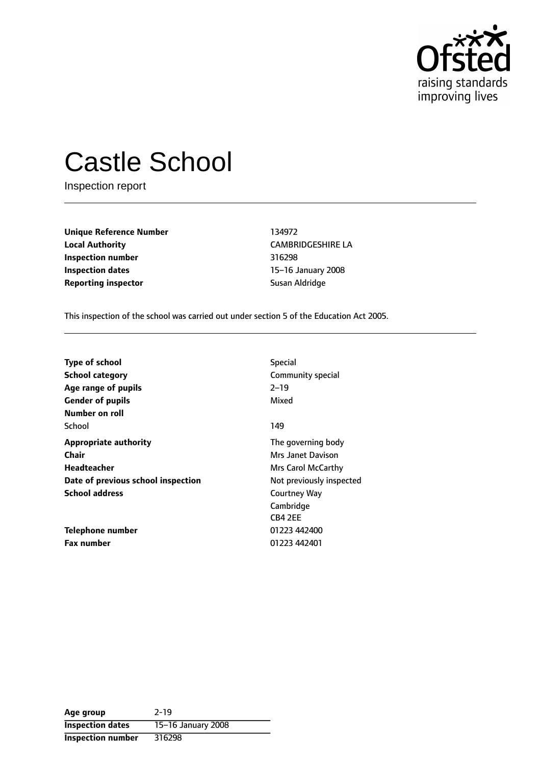

# Castle School

Inspection report

**Unique Reference Number** 134972 **Local Authority** CAMBRIDGESHIRE LA **Inspection number** 316298 **Inspection dates** 15-16 January 2008 **Reporting inspector Susan Aldridge** 

This inspection of the school was carried out under section 5 of the Education Act 2005.

| <b>Type of school</b><br><b>School category</b> | Special<br>Community special<br>$2 - 19$ |
|-------------------------------------------------|------------------------------------------|
| Age range of pupils<br><b>Gender of pupils</b>  | Mixed                                    |
| Number on roll                                  |                                          |
| School                                          | 149                                      |
| <b>Appropriate authority</b>                    | The governing body                       |
| Chair                                           | Mrs Janet Davison                        |
| Headteacher                                     | Mrs Carol McCarthy                       |
| Date of previous school inspection              | Not previously inspected                 |
| <b>School address</b>                           | Courtney Way                             |
|                                                 | Cambridge                                |
|                                                 | CB4 2EE                                  |
| Telephone number                                | 01223 442400                             |
| <b>Fax number</b>                               | 01223 442401                             |

| Age group                | $2 - 19$           |
|--------------------------|--------------------|
| <b>Inspection dates</b>  | 15-16 January 2008 |
| <b>Inspection number</b> | 316298             |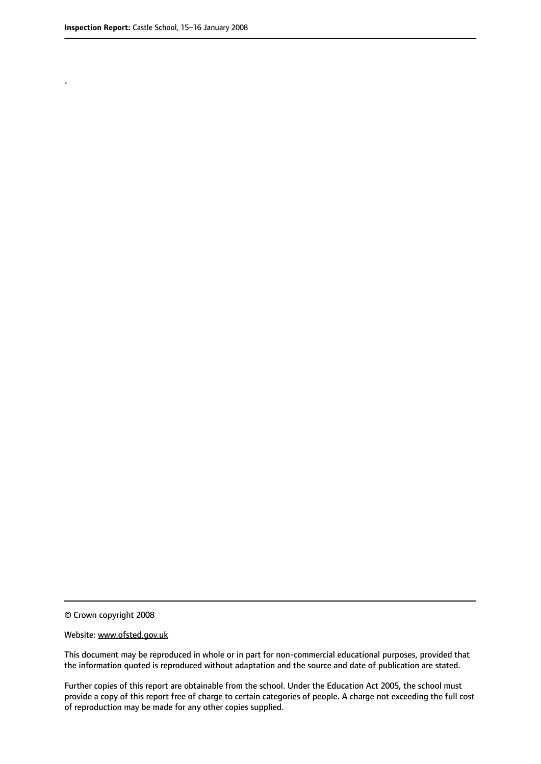.

© Crown copyright 2008

#### Website: www.ofsted.gov.uk

This document may be reproduced in whole or in part for non-commercial educational purposes, provided that the information quoted is reproduced without adaptation and the source and date of publication are stated.

Further copies of this report are obtainable from the school. Under the Education Act 2005, the school must provide a copy of this report free of charge to certain categories of people. A charge not exceeding the full cost of reproduction may be made for any other copies supplied.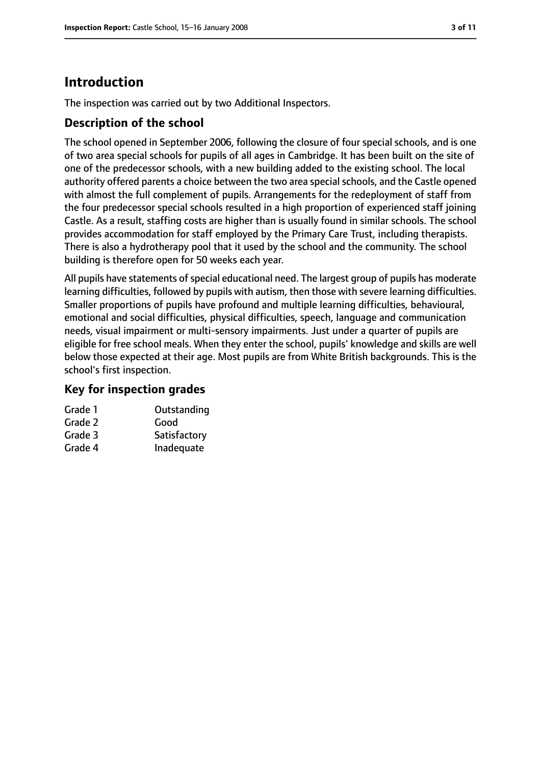# **Introduction**

The inspection was carried out by two Additional Inspectors.

## **Description of the school**

The school opened in September 2006, following the closure of four special schools, and is one of two area special schools for pupils of all ages in Cambridge. It has been built on the site of one of the predecessor schools, with a new building added to the existing school. The local authority offered parents a choice between the two area special schools, and the Castle opened with almost the full complement of pupils. Arrangements for the redeployment of staff from the four predecessor special schools resulted in a high proportion of experienced staff joining Castle. As a result, staffing costs are higher than is usually found in similar schools. The school provides accommodation for staff employed by the Primary Care Trust, including therapists. There is also a hydrotherapy pool that it used by the school and the community. The school building is therefore open for 50 weeks each year.

All pupils have statements of special educational need. The largest group of pupils has moderate learning difficulties, followed by pupils with autism, then those with severe learning difficulties. Smaller proportions of pupils have profound and multiple learning difficulties, behavioural, emotional and social difficulties, physical difficulties, speech, language and communication needs, visual impairment or multi-sensory impairments. Just under a quarter of pupils are eligible for free school meals. When they enter the school, pupils' knowledge and skills are well below those expected at their age. Most pupils are from White British backgrounds. This is the school's first inspection.

#### **Key for inspection grades**

| Grade 1 | Outstanding  |
|---------|--------------|
| Grade 2 | Good         |
| Grade 3 | Satisfactory |
| Grade 4 | Inadequate   |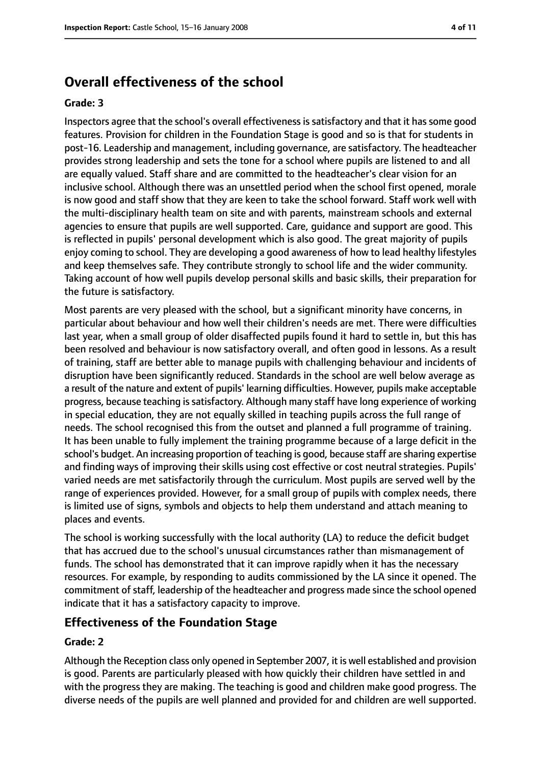# **Overall effectiveness of the school**

#### **Grade: 3**

Inspectors agree that the school's overall effectiveness is satisfactory and that it has some good features. Provision for children in the Foundation Stage is good and so is that for students in post-16. Leadership and management, including governance, are satisfactory. The headteacher provides strong leadership and sets the tone for a school where pupils are listened to and all are equally valued. Staff share and are committed to the headteacher's clear vision for an inclusive school. Although there was an unsettled period when the school first opened, morale is now good and staff show that they are keen to take the school forward. Staff work well with the multi-disciplinary health team on site and with parents, mainstream schools and external agencies to ensure that pupils are well supported. Care, guidance and support are good. This is reflected in pupils' personal development which is also good. The great majority of pupils enjoy coming to school. They are developing a good awareness of how to lead healthy lifestyles and keep themselves safe. They contribute strongly to school life and the wider community. Taking account of how well pupils develop personal skills and basic skills, their preparation for the future is satisfactory.

Most parents are very pleased with the school, but a significant minority have concerns, in particular about behaviour and how well their children's needs are met. There were difficulties last year, when a small group of older disaffected pupils found it hard to settle in, but this has been resolved and behaviour is now satisfactory overall, and often good in lessons. As a result of training, staff are better able to manage pupils with challenging behaviour and incidents of disruption have been significantly reduced. Standards in the school are well below average as a result of the nature and extent of pupils' learning difficulties. However, pupils make acceptable progress, because teaching is satisfactory. Although many staff have long experience of working in special education, they are not equally skilled in teaching pupils across the full range of needs. The school recognised this from the outset and planned a full programme of training. It has been unable to fully implement the training programme because of a large deficit in the school's budget. An increasing proportion of teaching is good, because staff are sharing expertise and finding ways of improving their skills using cost effective or cost neutral strategies. Pupils' varied needs are met satisfactorily through the curriculum. Most pupils are served well by the range of experiences provided. However, for a small group of pupils with complex needs, there is limited use of signs, symbols and objects to help them understand and attach meaning to places and events.

The school is working successfully with the local authority (LA) to reduce the deficit budget that has accrued due to the school's unusual circumstances rather than mismanagement of funds. The school has demonstrated that it can improve rapidly when it has the necessary resources. For example, by responding to audits commissioned by the LA since it opened. The commitment of staff, leadership of the headteacher and progress made since the school opened indicate that it has a satisfactory capacity to improve.

#### **Effectiveness of the Foundation Stage**

#### **Grade: 2**

Although the Reception class only opened in September 2007, it is well established and provision is good. Parents are particularly pleased with how quickly their children have settled in and with the progress they are making. The teaching is good and children make good progress. The diverse needs of the pupils are well planned and provided for and children are well supported.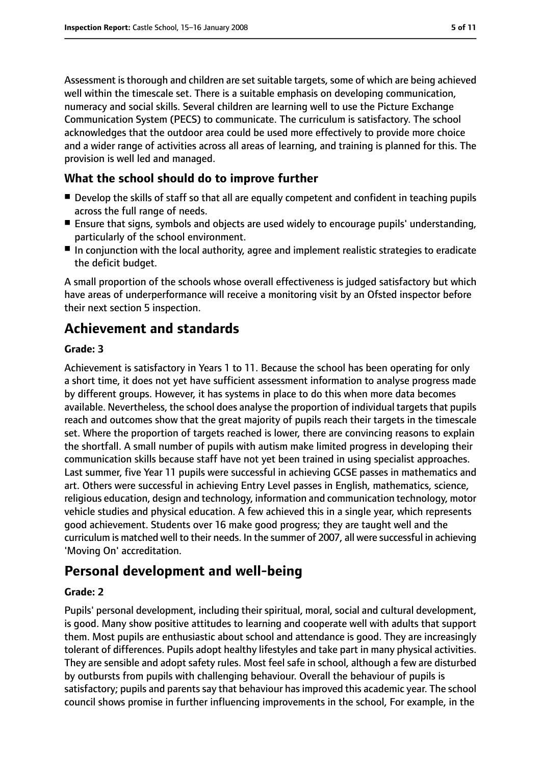Assessment is thorough and children are set suitable targets, some of which are being achieved well within the timescale set. There is a suitable emphasis on developing communication, numeracy and social skills. Several children are learning well to use the Picture Exchange Communication System (PECS) to communicate. The curriculum is satisfactory. The school acknowledges that the outdoor area could be used more effectively to provide more choice and a wider range of activities across all areas of learning, and training is planned for this. The provision is well led and managed.

### **What the school should do to improve further**

- Develop the skills of staff so that all are equally competent and confident in teaching pupils across the full range of needs.
- Ensure that signs, symbols and objects are used widely to encourage pupils' understanding, particularly of the school environment.
- In conjunction with the local authority, agree and implement realistic strategies to eradicate the deficit budget.

A small proportion of the schools whose overall effectiveness is judged satisfactory but which have areas of underperformance will receive a monitoring visit by an Ofsted inspector before their next section 5 inspection.

# **Achievement and standards**

#### **Grade: 3**

Achievement is satisfactory in Years 1 to 11. Because the school has been operating for only a short time, it does not yet have sufficient assessment information to analyse progress made by different groups. However, it has systems in place to do this when more data becomes available. Nevertheless, the school does analyse the proportion of individual targets that pupils reach and outcomes show that the great majority of pupils reach their targets in the timescale set. Where the proportion of targets reached is lower, there are convincing reasons to explain the shortfall. A small number of pupils with autism make limited progress in developing their communication skills because staff have not yet been trained in using specialist approaches. Last summer, five Year 11 pupils were successful in achieving GCSE passes in mathematics and art. Others were successful in achieving Entry Level passes in English, mathematics, science, religious education, design and technology, information and communication technology, motor vehicle studies and physical education. A few achieved this in a single year, which represents good achievement. Students over 16 make good progress; they are taught well and the curriculum is matched well to their needs. In the summer of 2007, all were successful in achieving 'Moving On' accreditation.

# **Personal development and well-being**

#### **Grade: 2**

Pupils' personal development, including their spiritual, moral, social and cultural development, is good. Many show positive attitudes to learning and cooperate well with adults that support them. Most pupils are enthusiastic about school and attendance is good. They are increasingly tolerant of differences. Pupils adopt healthy lifestyles and take part in many physical activities. They are sensible and adopt safety rules. Most feel safe in school, although a few are disturbed by outbursts from pupils with challenging behaviour. Overall the behaviour of pupils is satisfactory; pupils and parents say that behaviour has improved this academic year. The school council shows promise in further influencing improvements in the school, For example, in the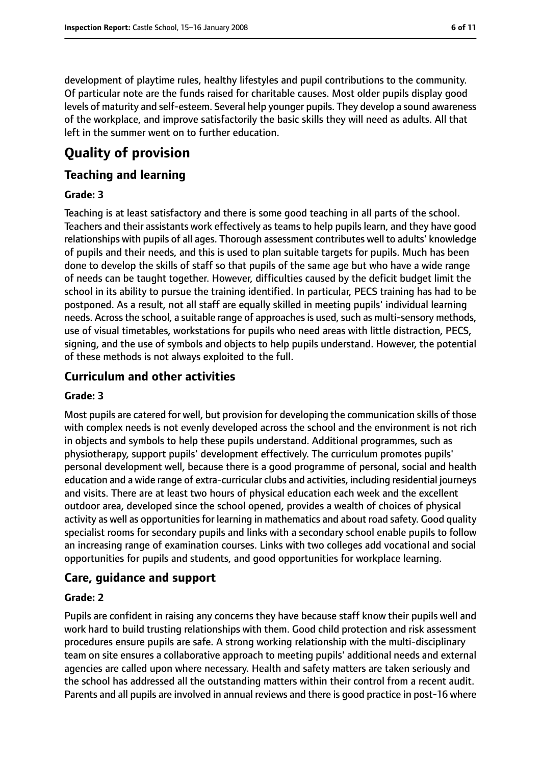development of playtime rules, healthy lifestyles and pupil contributions to the community. Of particular note are the funds raised for charitable causes. Most older pupils display good levels of maturity and self-esteem. Several help younger pupils. They develop a sound awareness of the workplace, and improve satisfactorily the basic skills they will need as adults. All that left in the summer went on to further education.

# **Quality of provision**

### **Teaching and learning**

#### **Grade: 3**

Teaching is at least satisfactory and there is some good teaching in all parts of the school. Teachers and their assistants work effectively as teams to help pupils learn, and they have good relationships with pupils of all ages. Thorough assessment contributes well to adults' knowledge of pupils and their needs, and this is used to plan suitable targets for pupils. Much has been done to develop the skills of staff so that pupils of the same age but who have a wide range of needs can be taught together. However, difficulties caused by the deficit budget limit the school in its ability to pursue the training identified. In particular, PECS training has had to be postponed. As a result, not all staff are equally skilled in meeting pupils' individual learning needs. Across the school, a suitable range of approaches is used, such as multi-sensory methods, use of visual timetables, workstations for pupils who need areas with little distraction, PECS, signing, and the use of symbols and objects to help pupils understand. However, the potential of these methods is not always exploited to the full.

### **Curriculum and other activities**

#### **Grade: 3**

Most pupils are catered for well, but provision for developing the communication skills of those with complex needs is not evenly developed across the school and the environment is not rich in objects and symbols to help these pupils understand. Additional programmes, such as physiotherapy, support pupils' development effectively. The curriculum promotes pupils' personal development well, because there is a good programme of personal, social and health education and a wide range of extra-curricular clubs and activities, including residential journeys and visits. There are at least two hours of physical education each week and the excellent outdoor area, developed since the school opened, provides a wealth of choices of physical activity as well as opportunities for learning in mathematics and about road safety. Good quality specialist rooms for secondary pupils and links with a secondary school enable pupils to follow an increasing range of examination courses. Links with two colleges add vocational and social opportunities for pupils and students, and good opportunities for workplace learning.

#### **Care, guidance and support**

#### **Grade: 2**

Pupils are confident in raising any concerns they have because staff know their pupils well and work hard to build trusting relationships with them. Good child protection and risk assessment procedures ensure pupils are safe. A strong working relationship with the multi-disciplinary team on site ensures a collaborative approach to meeting pupils' additional needs and external agencies are called upon where necessary. Health and safety matters are taken seriously and the school has addressed all the outstanding matters within their control from a recent audit. Parents and all pupils are involved in annual reviews and there is good practice in post-16 where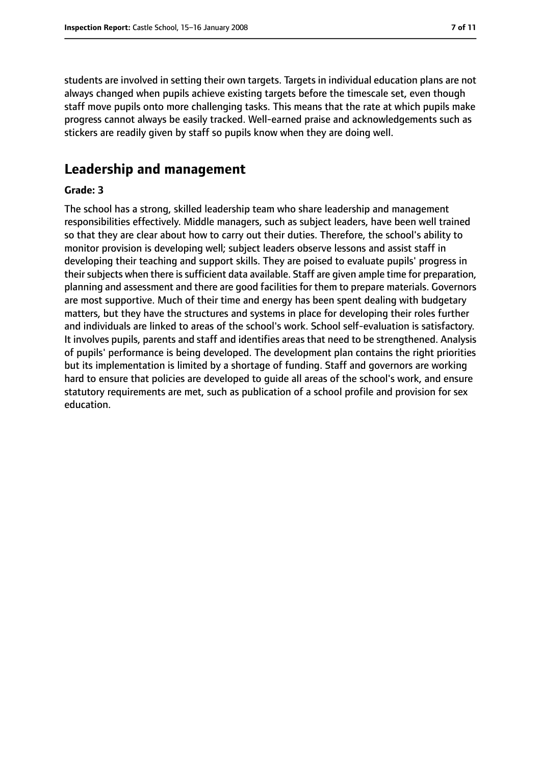students are involved in setting their own targets. Targets in individual education plans are not always changed when pupils achieve existing targets before the timescale set, even though staff move pupils onto more challenging tasks. This means that the rate at which pupils make progress cannot always be easily tracked. Well-earned praise and acknowledgements such as stickers are readily given by staff so pupils know when they are doing well.

# **Leadership and management**

#### **Grade: 3**

The school has a strong, skilled leadership team who share leadership and management responsibilities effectively. Middle managers, such as subject leaders, have been well trained so that they are clear about how to carry out their duties. Therefore, the school's ability to monitor provision is developing well; subject leaders observe lessons and assist staff in developing their teaching and support skills. They are poised to evaluate pupils' progress in their subjects when there is sufficient data available. Staff are given ample time for preparation, planning and assessment and there are good facilities for them to prepare materials. Governors are most supportive. Much of their time and energy has been spent dealing with budgetary matters, but they have the structures and systems in place for developing their roles further and individuals are linked to areas of the school's work. School self-evaluation is satisfactory. It involves pupils, parents and staff and identifies areas that need to be strengthened. Analysis of pupils' performance is being developed. The development plan contains the right priorities but its implementation is limited by a shortage of funding. Staff and governors are working hard to ensure that policies are developed to guide all areas of the school's work, and ensure statutory requirements are met, such as publication of a school profile and provision for sex education.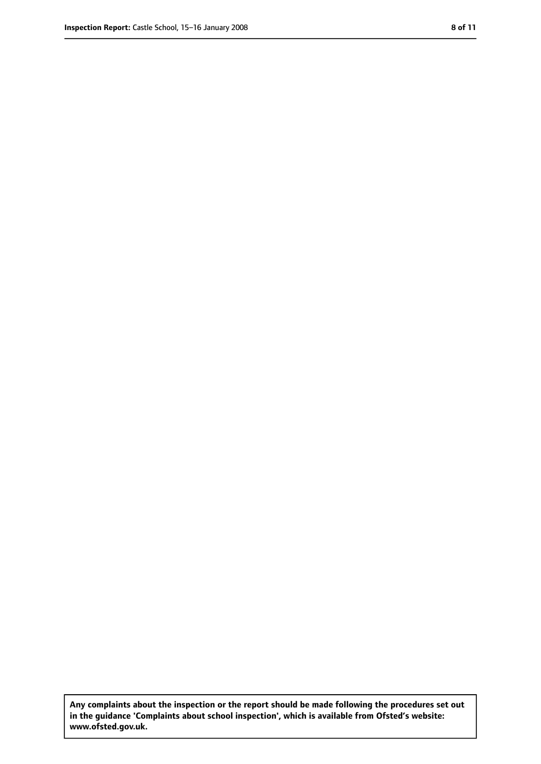**Any complaints about the inspection or the report should be made following the procedures set out in the guidance 'Complaints about school inspection', which is available from Ofsted's website: www.ofsted.gov.uk.**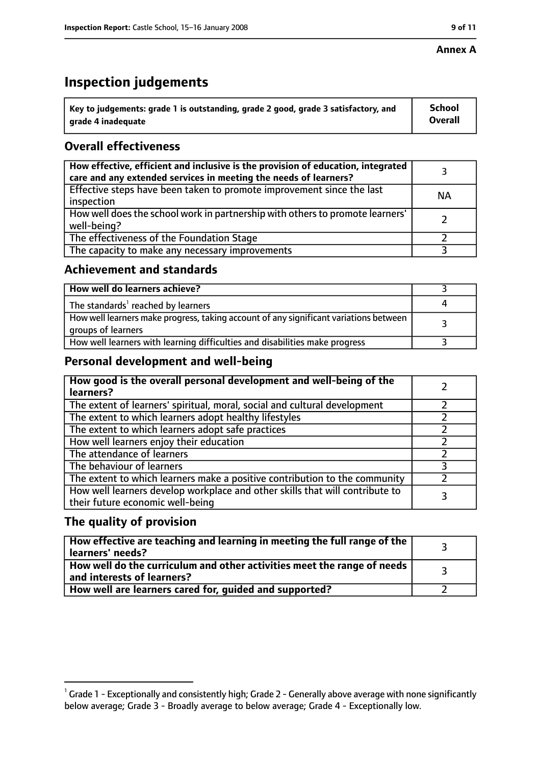#### **Annex A**

# **Inspection judgements**

| $\degree$ Key to judgements: grade 1 is outstanding, grade 2 good, grade 3 satisfactory, and | <b>School</b>  |
|----------------------------------------------------------------------------------------------|----------------|
| arade 4 inadeguate                                                                           | <b>Overall</b> |

## **Overall effectiveness**

| How effective, efficient and inclusive is the provision of education, integrated<br>care and any extended services in meeting the needs of learners? |           |
|------------------------------------------------------------------------------------------------------------------------------------------------------|-----------|
| Effective steps have been taken to promote improvement since the last<br>inspection                                                                  | <b>NA</b> |
| How well does the school work in partnership with others to promote learners'<br>well-being?                                                         |           |
| The effectiveness of the Foundation Stage                                                                                                            |           |
| The capacity to make any necessary improvements                                                                                                      |           |

## **Achievement and standards**

| How well do learners achieve?                                                                               |  |
|-------------------------------------------------------------------------------------------------------------|--|
| The standards <sup>1</sup> reached by learners                                                              |  |
| How well learners make progress, taking account of any significant variations between<br>groups of learners |  |
| How well learners with learning difficulties and disabilities make progress                                 |  |

## **Personal development and well-being**

| How good is the overall personal development and well-being of the<br>learners?                                  |  |
|------------------------------------------------------------------------------------------------------------------|--|
| The extent of learners' spiritual, moral, social and cultural development                                        |  |
| The extent to which learners adopt healthy lifestyles                                                            |  |
| The extent to which learners adopt safe practices                                                                |  |
| How well learners enjoy their education                                                                          |  |
| The attendance of learners                                                                                       |  |
| The behaviour of learners                                                                                        |  |
| The extent to which learners make a positive contribution to the community                                       |  |
| How well learners develop workplace and other skills that will contribute to<br>their future economic well-being |  |

## **The quality of provision**

| How effective are teaching and learning in meeting the full range of the<br>learners' needs?          |  |
|-------------------------------------------------------------------------------------------------------|--|
| How well do the curriculum and other activities meet the range of needs<br>and interests of learners? |  |
| How well are learners cared for, guided and supported?                                                |  |

 $^1$  Grade 1 - Exceptionally and consistently high; Grade 2 - Generally above average with none significantly below average; Grade 3 - Broadly average to below average; Grade 4 - Exceptionally low.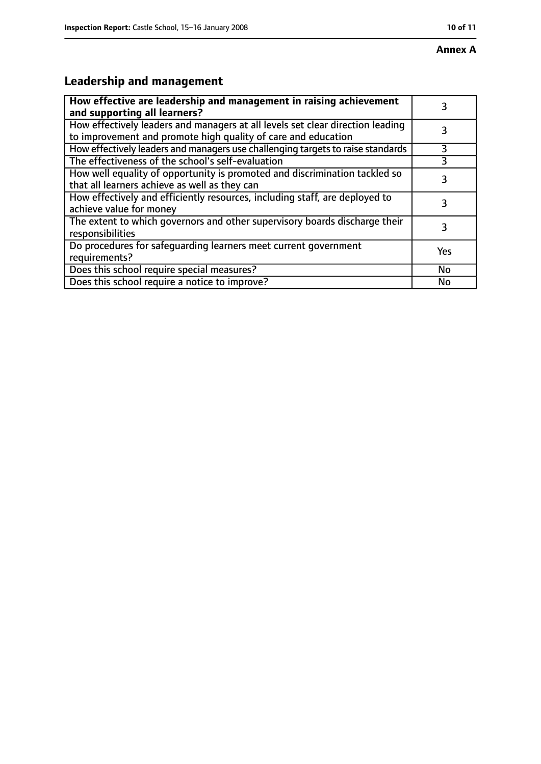# **Annex A**

# **Leadership and management**

| How effective are leadership and management in raising achievement<br>and supporting all learners?                                              | 3   |
|-------------------------------------------------------------------------------------------------------------------------------------------------|-----|
| How effectively leaders and managers at all levels set clear direction leading<br>to improvement and promote high quality of care and education |     |
| How effectively leaders and managers use challenging targets to raise standards                                                                 | 3   |
| The effectiveness of the school's self-evaluation                                                                                               |     |
| How well equality of opportunity is promoted and discrimination tackled so<br>that all learners achieve as well as they can                     | 3   |
| How effectively and efficiently resources, including staff, are deployed to<br>achieve value for money                                          | 3   |
| The extent to which governors and other supervisory boards discharge their<br>responsibilities                                                  | 3   |
| Do procedures for safequarding learners meet current government<br>requirements?                                                                | Yes |
| Does this school require special measures?                                                                                                      | No  |
| Does this school require a notice to improve?                                                                                                   | No  |